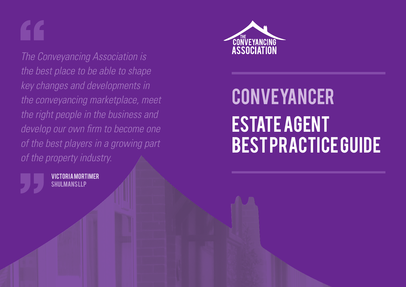*The Conveyancing Association is the best place to be able to shape key changes and developments in the conveyancing marketplace, meet the right people in the business and develop our own firm to become one of the best players in a growing part of the property industry.*





# **CONVEYANCER** Estate Agent Best Practice Guide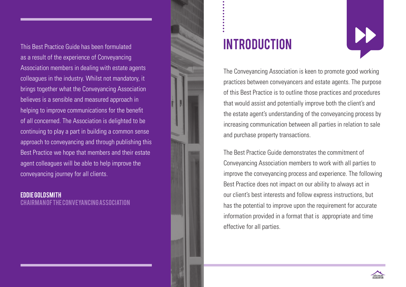This Best Practice Guide has been formulated as a result of the experience of Conveyancing Association members in dealing with estate agents colleagues in the industry. Whilst not mandatory, it brings together what the Conveyancing Association believes is a sensible and measured approach in helping to improve communications for the benefit of all concerned. The Association is delighted to be continuing to play a part in building a common sense approach to conveyancing and through publishing this Best Practice we hope that members and their estate agent colleagues will be able to help improve the conveyancing journey for all clients.

Eddie Goldsmith Chairman of the Conveyancing Association



### **INTRODUCTION**



The Conveyancing Association is keen to promote good working practices between conveyancers and estate agents. The purpose of this Best Practice is to outline those practices and procedures that would assist and potentially improve both the client's and the estate agent's understanding of the conveyancing process by increasing communication between all parties in relation to sale and purchase property transactions.

The Best Practice Guide demonstrates the commitment of Conveyancing Association members to work with all parties to improve the conveyancing process and experience. The following Best Practice does not impact on our ability to always act in our client's best interests and follow express instructions, but has the potential to improve upon the requirement for accurate information provided in a format that is appropriate and time effective for all parties.

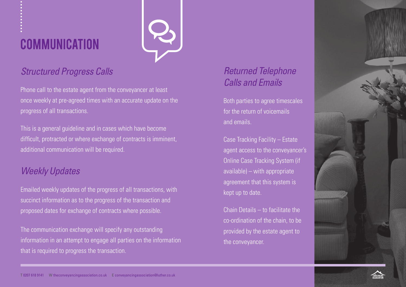### **COMMUNICATION**



#### *Structured Progress Calls*

Phone call to the estate agent from the conveyancer at least once weekly at pre-agreed times with an accurate update on the progress of all transactions.

This is a general guideline and in cases which have become difficult, protracted or where exchange of contracts is imminent, additional communication will be required.

#### *Weekly Updates*

Emailed weekly updates of the progress of all transactions, with succinct information as to the progress of the transaction and proposed dates for exchange of contracts where possible.

The communication exchange will specify any outstanding information in an attempt to engage all parties on the information that is required to progress the transaction.

### *Returned Telephone Calls and Emails*

Both parties to agree timescales for the return of voicemails and emails.

Case Tracking Facility – Estate agent access to the conveyancer's Online Case Tracking System (if available) – with appropriate agreement that this system is kept up to date.

Chain Details – to facilitate the co-ordination of the chain, to be provided by the estate agent to the conveyancer.